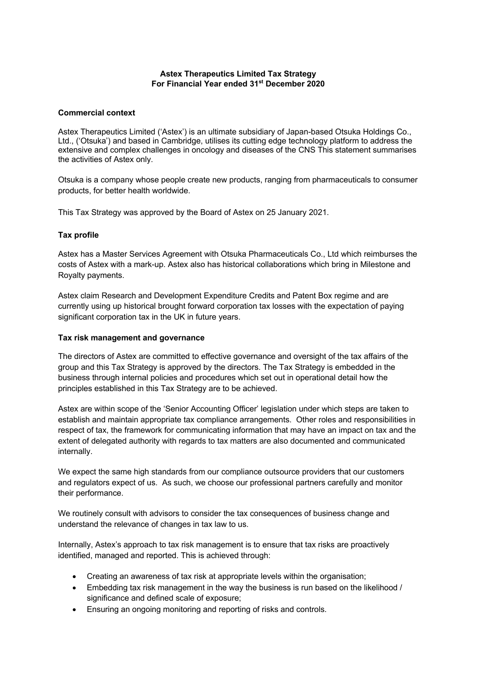# **Astex Therapeutics Limited Tax Strategy For Financial Year ended 31st December 2020**

## **Commercial context**

Astex Therapeutics Limited ('Astex') is an ultimate subsidiary of Japan-based Otsuka Holdings Co., Ltd., ('Otsuka') and based in Cambridge, utilises its cutting edge technology platform to address the extensive and complex challenges in oncology and diseases of the CNS This statement summarises the activities of Astex only.

Otsuka is a company whose people create new products, ranging from pharmaceuticals to consumer products, for better health worldwide.

This Tax Strategy was approved by the Board of Astex on 25 January 2021.

## **Tax profile**

Astex has a Master Services Agreement with Otsuka Pharmaceuticals Co., Ltd which reimburses the costs of Astex with a mark-up. Astex also has historical collaborations which bring in Milestone and Royalty payments.

Astex claim Research and Development Expenditure Credits and Patent Box regime and are currently using up historical brought forward corporation tax losses with the expectation of paying significant corporation tax in the UK in future years.

### **Tax risk management and governance**

The directors of Astex are committed to effective governance and oversight of the tax affairs of the group and this Tax Strategy is approved by the directors. The Tax Strategy is embedded in the business through internal policies and procedures which set out in operational detail how the principles established in this Tax Strategy are to be achieved.

Astex are within scope of the 'Senior Accounting Officer' legislation under which steps are taken to establish and maintain appropriate tax compliance arrangements. Other roles and responsibilities in respect of tax, the framework for communicating information that may have an impact on tax and the extent of delegated authority with regards to tax matters are also documented and communicated internally.

We expect the same high standards from our compliance outsource providers that our customers and regulators expect of us. As such, we choose our professional partners carefully and monitor their performance.

We routinely consult with advisors to consider the tax consequences of business change and understand the relevance of changes in tax law to us.

Internally, Astex's approach to tax risk management is to ensure that tax risks are proactively identified, managed and reported. This is achieved through:

- Creating an awareness of tax risk at appropriate levels within the organisation;
- Embedding tax risk management in the way the business is run based on the likelihood / significance and defined scale of exposure;
- Ensuring an ongoing monitoring and reporting of risks and controls.